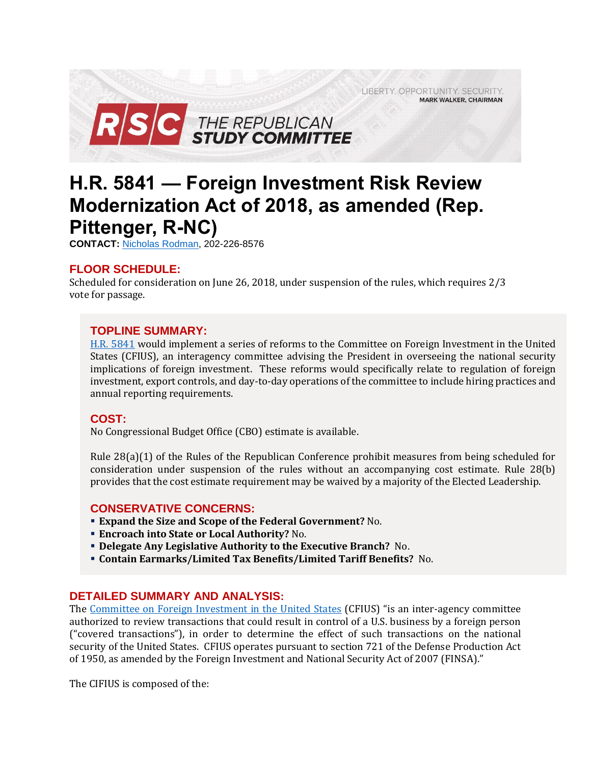LIBERTY. OPPORTUNITY. SECURITY. **MARK WALKER, CHAIRMAN** 



# **H.R. 5841 — Foreign Investment Risk Review Modernization Act of 2018, as amended (Rep. Pittenger, R-NC)**

**CONTACT:** [Nicholas Rodman,](mailto:nicholas.rodman@mail.house.gov) 202-226-8576

# **FLOOR SCHEDULE:**

Scheduled for consideration on June 26, 2018, under suspension of the rules, which requires 2/3 vote for passage.

# **TOPLINE SUMMARY:**

[H.R. 5841](https://docs.house.gov/billsthisweek/20180625/HR5841.PDF) would implement a series of reforms to the Committee on Foreign Investment in the United States (CFIUS), an interagency committee advising the President in overseeing the national security implications of foreign investment. These reforms would specifically relate to regulation of foreign investment, export controls, and day-to-day operations of the committee to include hiring practices and annual reporting requirements.

# **COST:**

No Congressional Budget Office (CBO) estimate is available.

Rule 28(a)(1) of the Rules of the Republican Conference prohibit measures from being scheduled for consideration under suspension of the rules without an accompanying cost estimate. Rule 28(b) provides that the cost estimate requirement may be waived by a majority of the Elected Leadership.

### **CONSERVATIVE CONCERNS:**

- **Expand the Size and Scope of the Federal Government?** No.
- **Encroach into State or Local Authority?** No.
- **Delegate Any Legislative Authority to the Executive Branch?** No.
- **Contain Earmarks/Limited Tax Benefits/Limited Tariff Benefits?** No.

# **DETAILED SUMMARY AND ANALYSIS:**

The [Committee on Foreign Investment in the United States](https://www.treasury.gov/resource-center/international/Pages/Committee-on-Foreign-Investment-in-US.aspx) (CFIUS) "is an inter-agency committee authorized to review transactions that could result in control of a U.S. business by a foreign person ("covered transactions"), in order to determine the effect of such transactions on the national security of the United States. CFIUS operates pursuant to section 721 of the Defense Production Act of 1950, as amended by the Foreign Investment and National Security Act of 2007 (FINSA)."

The CIFIUS is composed of the: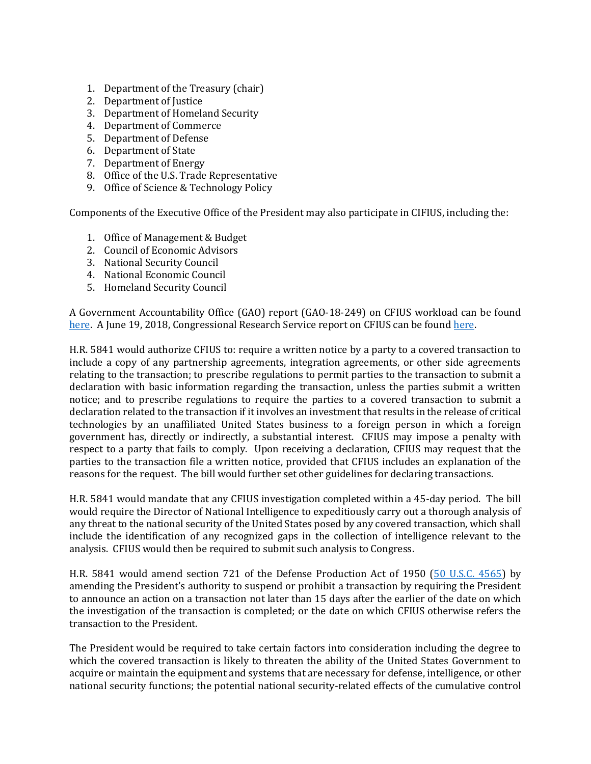- 1. Department of the Treasury (chair)
- 2. Department of Justice
- 3. Department of Homeland Security
- 4. Department of Commerce
- 5. Department of Defense
- 6. Department of State
- 7. Department of Energy
- 8. Office of the U.S. Trade Representative
- 9. Office of Science & Technology Policy

Components of the Executive Office of the President may also participate in CIFIUS, including the:

- 1. Office of Management & Budget
- 2. Council of Economic Advisors
- 3. National Security Council
- 4. National Economic Council
- 5. Homeland Security Council

A Government Accountability Office (GAO) report (GAO-18-249) on CFIUS workload can be found [here.](https://www.gao.gov/assets/700/690235.pdf) A June 19, 2018, Congressional Research Service report on CFIUS can be found [here.](http://www.crs.gov/reports/pdf/RL33388) 

H.R. 5841 would authorize CFIUS to: require a written notice by a party to a covered transaction to include a copy of any partnership agreements, integration agreements, or other side agreements relating to the transaction; to prescribe regulations to permit parties to the transaction to submit a declaration with basic information regarding the transaction, unless the parties submit a written notice; and to prescribe regulations to require the parties to a covered transaction to submit a declaration related to the transaction if it involves an investment that results in the release of critical technologies by an unaffiliated United States business to a foreign person in which a foreign government has, directly or indirectly, a substantial interest. CFIUS may impose a penalty with respect to a party that fails to comply. Upon receiving a declaration, CFIUS may request that the parties to the transaction file a written notice, provided that CFIUS includes an explanation of the reasons for the request. The bill would further set other guidelines for declaring transactions.

H.R. 5841 would mandate that any CFIUS investigation completed within a 45-day period. The bill would require the Director of National Intelligence to expeditiously carry out a thorough analysis of any threat to the national security of the United States posed by any covered transaction, which shall include the identification of any recognized gaps in the collection of intelligence relevant to the analysis. CFIUS would then be required to submit such analysis to Congress.

H.R. 5841 would amend section 721 of the Defense Production Act of 1950 [\(50 U.S.C. 4565\)](https://www.law.cornell.edu/uscode/text/50/4565) by amending the President's authority to suspend or prohibit a transaction by requiring the President to announce an action on a transaction not later than 15 days after the earlier of the date on which the investigation of the transaction is completed; or the date on which CFIUS otherwise refers the transaction to the President.

The President would be required to take certain factors into consideration including the degree to which the covered transaction is likely to threaten the ability of the United States Government to acquire or maintain the equipment and systems that are necessary for defense, intelligence, or other national security functions; the potential national security-related effects of the cumulative control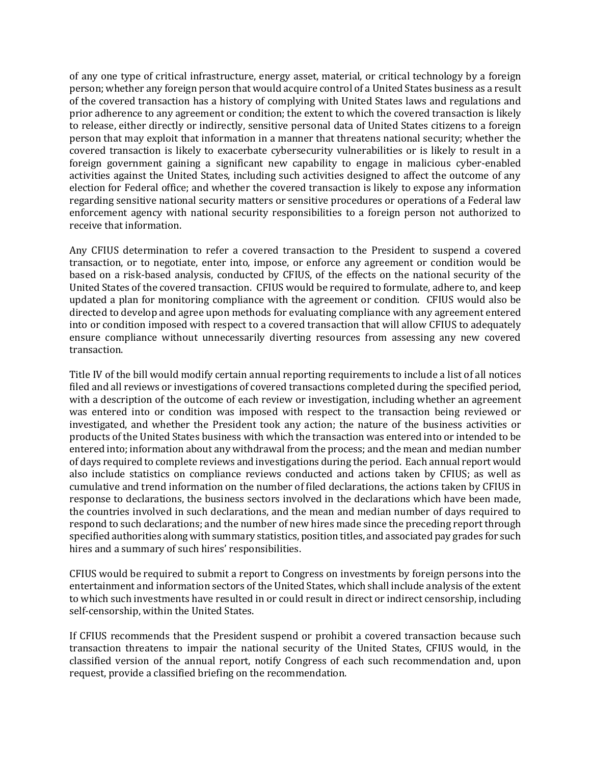of any one type of critical infrastructure, energy asset, material, or critical technology by a foreign person; whether any foreign person that would acquire control of a United States business as a result of the covered transaction has a history of complying with United States laws and regulations and prior adherence to any agreement or condition; the extent to which the covered transaction is likely to release, either directly or indirectly, sensitive personal data of United States citizens to a foreign person that may exploit that information in a manner that threatens national security; whether the covered transaction is likely to exacerbate cybersecurity vulnerabilities or is likely to result in a foreign government gaining a significant new capability to engage in malicious cyber-enabled activities against the United States, including such activities designed to affect the outcome of any election for Federal office; and whether the covered transaction is likely to expose any information regarding sensitive national security matters or sensitive procedures or operations of a Federal law enforcement agency with national security responsibilities to a foreign person not authorized to receive that information.

Any CFIUS determination to refer a covered transaction to the President to suspend a covered transaction, or to negotiate, enter into, impose, or enforce any agreement or condition would be based on a risk-based analysis, conducted by CFIUS, of the effects on the national security of the United States of the covered transaction. CFIUS would be required to formulate, adhere to, and keep updated a plan for monitoring compliance with the agreement or condition. CFIUS would also be directed to develop and agree upon methods for evaluating compliance with any agreement entered into or condition imposed with respect to a covered transaction that will allow CFIUS to adequately ensure compliance without unnecessarily diverting resources from assessing any new covered transaction.

Title IV of the bill would modify certain annual reporting requirements to include a list of all notices filed and all reviews or investigations of covered transactions completed during the specified period, with a description of the outcome of each review or investigation, including whether an agreement was entered into or condition was imposed with respect to the transaction being reviewed or investigated, and whether the President took any action; the nature of the business activities or products of the United States business with which the transaction was entered into or intended to be entered into; information about any withdrawal from the process; and the mean and median number of days required to complete reviews and investigations during the period. Each annual report would also include statistics on compliance reviews conducted and actions taken by CFIUS; as well as cumulative and trend information on the number of filed declarations, the actions taken by CFIUS in response to declarations, the business sectors involved in the declarations which have been made, the countries involved in such declarations, and the mean and median number of days required to respond to such declarations; and the number of new hires made since the preceding report through specified authorities along with summary statistics, position titles, and associated pay grades for such hires and a summary of such hires' responsibilities.

CFIUS would be required to submit a report to Congress on investments by foreign persons into the entertainment and information sectors of the United States, which shall include analysis of the extent to which such investments have resulted in or could result in direct or indirect censorship, including self-censorship, within the United States.

If CFIUS recommends that the President suspend or prohibit a covered transaction because such transaction threatens to impair the national security of the United States, CFIUS would, in the classified version of the annual report, notify Congress of each such recommendation and, upon request, provide a classified briefing on the recommendation.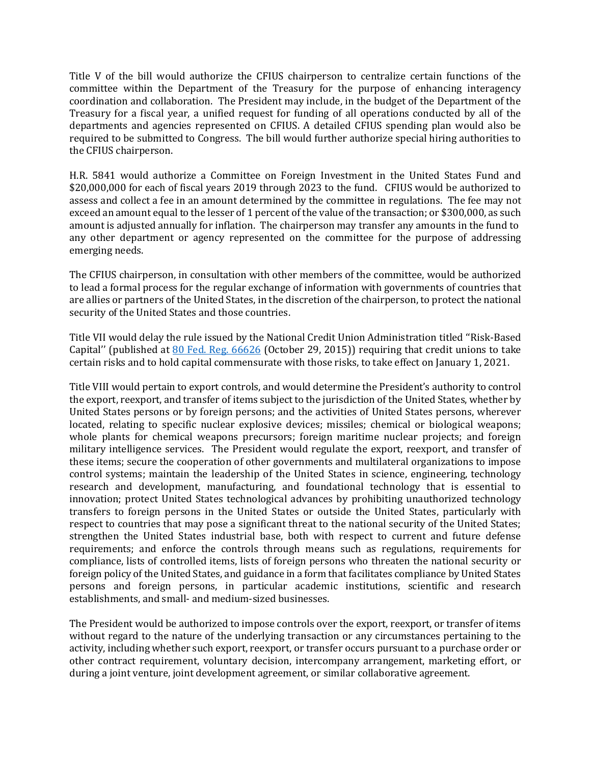Title V of the bill would authorize the CFIUS chairperson to centralize certain functions of the committee within the Department of the Treasury for the purpose of enhancing interagency coordination and collaboration. The President may include, in the budget of the Department of the Treasury for a fiscal year, a unified request for funding of all operations conducted by all of the departments and agencies represented on CFIUS. A detailed CFIUS spending plan would also be required to be submitted to Congress. The bill would further authorize special hiring authorities to the CFIUS chairperson.

H.R. 5841 would authorize a Committee on Foreign Investment in the United States Fund and \$20,000,000 for each of fiscal years 2019 through 2023 to the fund. CFIUS would be authorized to assess and collect a fee in an amount determined by the committee in regulations. The fee may not exceed an amount equal to the lesser of 1 percent of the value of the transaction; or \$300,000, as such amount is adjusted annually for inflation. The chairperson may transfer any amounts in the fund to any other department or agency represented on the committee for the purpose of addressing emerging needs.

The CFIUS chairperson, in consultation with other members of the committee, would be authorized to lead a formal process for the regular exchange of information with governments of countries that are allies or partners of the United States, in the discretion of the chairperson, to protect the national security of the United States and those countries.

Title VII would delay the rule issued by the National Credit Union Administration titled ''Risk-Based Capital" (published at [80 Fed. Reg. 66626](https://www.gpo.gov/fdsys/pkg/FR-2015-10-29/html/2015-26790.htm) (October 29, 2015)) requiring that credit unions to take certain risks and to hold capital commensurate with those risks, to take effect on January 1, 2021.

Title VIII would pertain to export controls, and would determine the President's authority to control the export, reexport, and transfer of items subject to the jurisdiction of the United States, whether by United States persons or by foreign persons; and the activities of United States persons, wherever located, relating to specific nuclear explosive devices; missiles; chemical or biological weapons; whole plants for chemical weapons precursors; foreign maritime nuclear projects; and foreign military intelligence services. The President would regulate the export, reexport, and transfer of these items; secure the cooperation of other governments and multilateral organizations to impose control systems; maintain the leadership of the United States in science, engineering, technology research and development, manufacturing, and foundational technology that is essential to innovation; protect United States technological advances by prohibiting unauthorized technology transfers to foreign persons in the United States or outside the United States, particularly with respect to countries that may pose a significant threat to the national security of the United States; strengthen the United States industrial base, both with respect to current and future defense requirements; and enforce the controls through means such as regulations, requirements for compliance, lists of controlled items, lists of foreign persons who threaten the national security or foreign policy of the United States, and guidance in a form that facilitates compliance by United States persons and foreign persons, in particular academic institutions, scientific and research establishments, and small- and medium-sized businesses.

The President would be authorized to impose controls over the export, reexport, or transfer of items without regard to the nature of the underlying transaction or any circumstances pertaining to the activity, including whether such export, reexport, or transfer occurs pursuant to a purchase order or other contract requirement, voluntary decision, intercompany arrangement, marketing effort, or during a joint venture, joint development agreement, or similar collaborative agreement.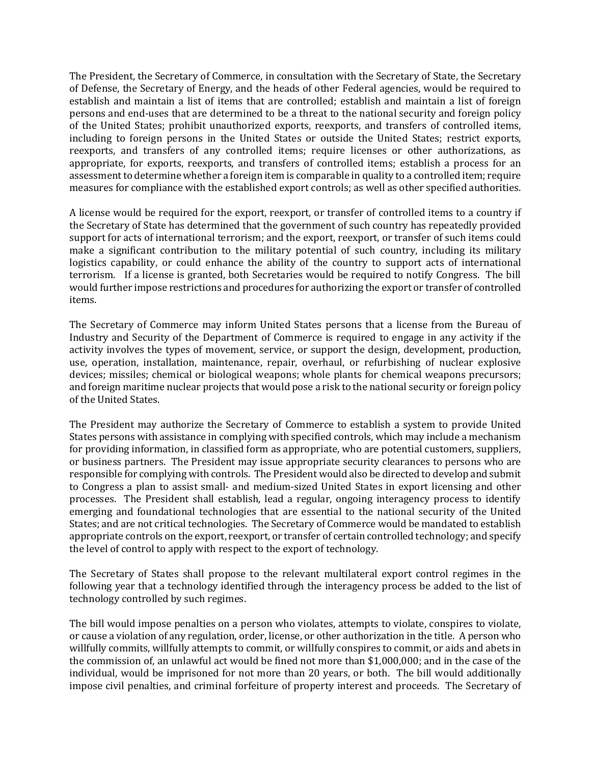The President, the Secretary of Commerce, in consultation with the Secretary of State, the Secretary of Defense, the Secretary of Energy, and the heads of other Federal agencies, would be required to establish and maintain a list of items that are controlled; establish and maintain a list of foreign persons and end-uses that are determined to be a threat to the national security and foreign policy of the United States; prohibit unauthorized exports, reexports, and transfers of controlled items, including to foreign persons in the United States or outside the United States; restrict exports, reexports, and transfers of any controlled items; require licenses or other authorizations, as appropriate, for exports, reexports, and transfers of controlled items; establish a process for an assessment to determine whether a foreign item is comparable in quality to a controlled item; require measures for compliance with the established export controls; as well as other specified authorities.

A license would be required for the export, reexport, or transfer of controlled items to a country if the Secretary of State has determined that the government of such country has repeatedly provided support for acts of international terrorism; and the export, reexport, or transfer of such items could make a significant contribution to the military potential of such country, including its military logistics capability, or could enhance the ability of the country to support acts of international terrorism. If a license is granted, both Secretaries would be required to notify Congress. The bill would further impose restrictions and procedures for authorizing the export or transfer of controlled items.

The Secretary of Commerce may inform United States persons that a license from the Bureau of Industry and Security of the Department of Commerce is required to engage in any activity if the activity involves the types of movement, service, or support the design, development, production, use, operation, installation, maintenance, repair, overhaul, or refurbishing of nuclear explosive devices; missiles; chemical or biological weapons; whole plants for chemical weapons precursors; and foreign maritime nuclear projects that would pose a risk to the national security or foreign policy of the United States.

The President may authorize the Secretary of Commerce to establish a system to provide United States persons with assistance in complying with specified controls, which may include a mechanism for providing information, in classified form as appropriate, who are potential customers, suppliers, or business partners. The President may issue appropriate security clearances to persons who are responsible for complying with controls. The President would also be directed to develop and submit to Congress a plan to assist small- and medium-sized United States in export licensing and other processes. The President shall establish, lead a regular, ongoing interagency process to identify emerging and foundational technologies that are essential to the national security of the United States; and are not critical technologies. The Secretary of Commerce would be mandated to establish appropriate controls on the export, reexport, or transfer of certain controlled technology; and specify the level of control to apply with respect to the export of technology.

The Secretary of States shall propose to the relevant multilateral export control regimes in the following year that a technology identified through the interagency process be added to the list of technology controlled by such regimes.

The bill would impose penalties on a person who violates, attempts to violate, conspires to violate, or cause a violation of any regulation, order, license, or other authorization in the title. A person who willfully commits, willfully attempts to commit, or willfully conspires to commit, or aids and abets in the commission of, an unlawful act would be fined not more than \$1,000,000; and in the case of the individual, would be imprisoned for not more than 20 years, or both. The bill would additionally impose civil penalties, and criminal forfeiture of property interest and proceeds. The Secretary of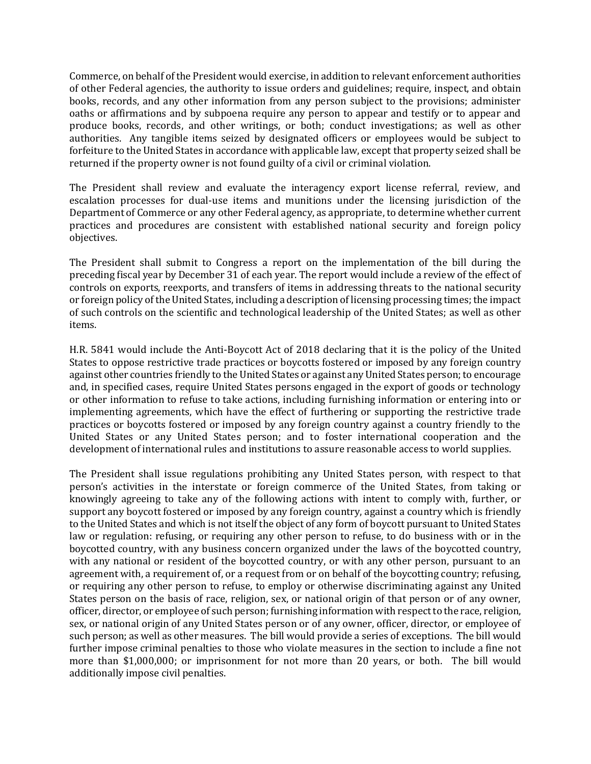Commerce, on behalf of the President would exercise, in addition to relevant enforcement authorities of other Federal agencies, the authority to issue orders and guidelines; require, inspect, and obtain books, records, and any other information from any person subject to the provisions; administer oaths or affirmations and by subpoena require any person to appear and testify or to appear and produce books, records, and other writings, or both; conduct investigations; as well as other authorities. Any tangible items seized by designated officers or employees would be subject to forfeiture to the United States in accordance with applicable law, except that property seized shall be returned if the property owner is not found guilty of a civil or criminal violation.

The President shall review and evaluate the interagency export license referral, review, and escalation processes for dual-use items and munitions under the licensing jurisdiction of the Department of Commerce or any other Federal agency, as appropriate, to determine whether current practices and procedures are consistent with established national security and foreign policy objectives.

The President shall submit to Congress a report on the implementation of the bill during the preceding fiscal year by December 31 of each year. The report would include a review of the effect of controls on exports, reexports, and transfers of items in addressing threats to the national security or foreign policy of the United States, including a description of licensing processing times; the impact of such controls on the scientific and technological leadership of the United States; as well as other items.

H.R. 5841 would include the Anti-Boycott Act of 2018 declaring that it is the policy of the United States to oppose restrictive trade practices or boycotts fostered or imposed by any foreign country against other countries friendly to the United States or against any United States person; to encourage and, in specified cases, require United States persons engaged in the export of goods or technology or other information to refuse to take actions, including furnishing information or entering into or implementing agreements, which have the effect of furthering or supporting the restrictive trade practices or boycotts fostered or imposed by any foreign country against a country friendly to the United States or any United States person; and to foster international cooperation and the development of international rules and institutions to assure reasonable access to world supplies.

The President shall issue regulations prohibiting any United States person, with respect to that person's activities in the interstate or foreign commerce of the United States, from taking or knowingly agreeing to take any of the following actions with intent to comply with, further, or support any boycott fostered or imposed by any foreign country, against a country which is friendly to the United States and which is not itself the object of any form of boycott pursuant to United States law or regulation: refusing, or requiring any other person to refuse, to do business with or in the boycotted country, with any business concern organized under the laws of the boycotted country, with any national or resident of the boycotted country, or with any other person, pursuant to an agreement with, a requirement of, or a request from or on behalf of the boycotting country; refusing, or requiring any other person to refuse, to employ or otherwise discriminating against any United States person on the basis of race, religion, sex, or national origin of that person or of any owner, officer, director, or employee of such person; furnishing information with respect to the race, religion, sex, or national origin of any United States person or of any owner, officer, director, or employee of such person; as well as other measures. The bill would provide a series of exceptions. The bill would further impose criminal penalties to those who violate measures in the section to include a fine not more than \$1,000,000; or imprisonment for not more than 20 years, or both. The bill would additionally impose civil penalties.